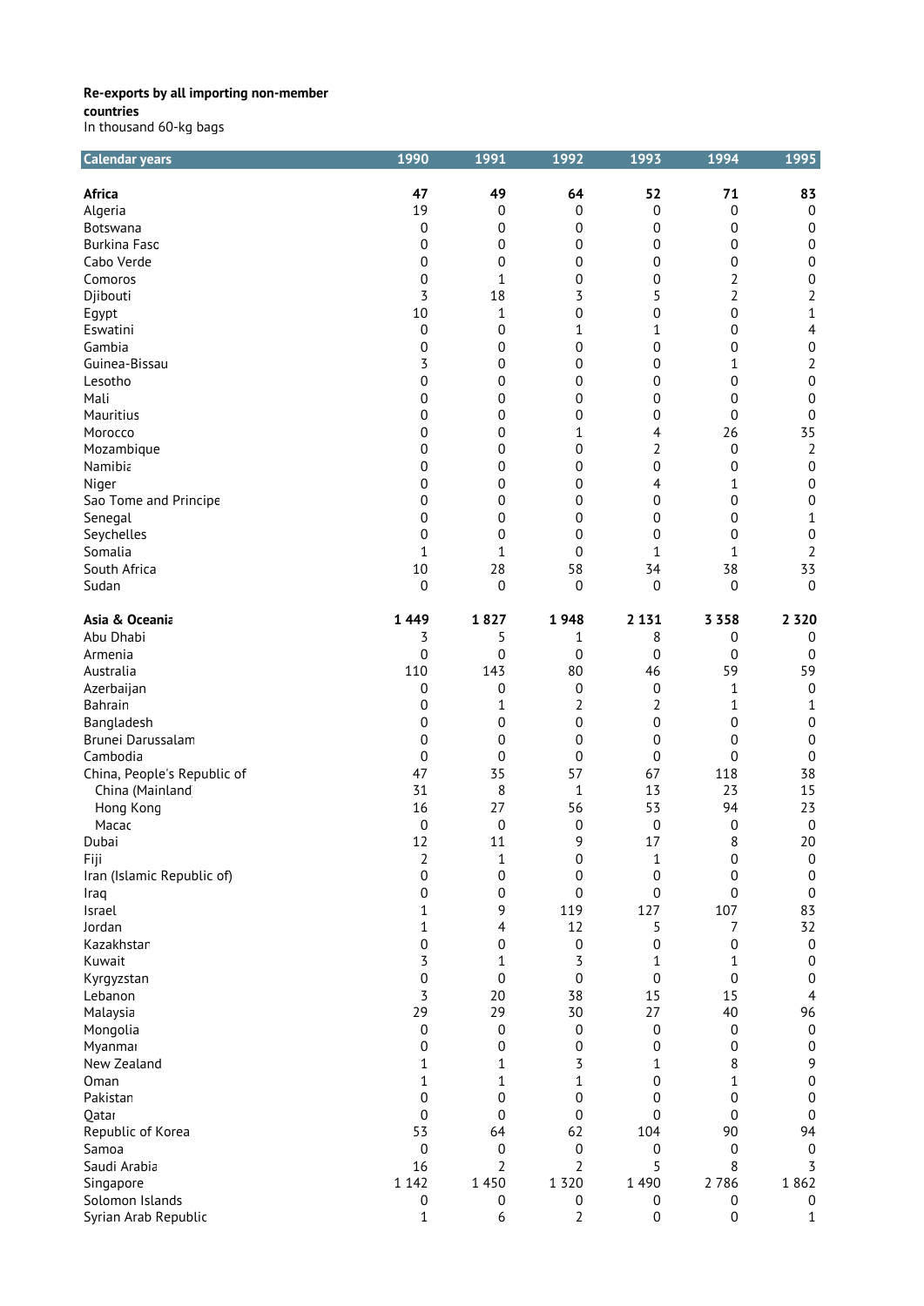**countries**

| In thousand 60-kg bags |  |  |
|------------------------|--|--|
|------------------------|--|--|

| <b>Calendar years</b>                          | 1990             | 1991                   | 1992             | 1993             | 1994             | 1995             |
|------------------------------------------------|------------------|------------------------|------------------|------------------|------------------|------------------|
| <b>Africa</b>                                  | 47               | 49                     | 64               | 52               | 71               | 83               |
| Algeria                                        | 19               | $\boldsymbol{0}$       | 0                | $\boldsymbol{0}$ | $\mathbf 0$      | $\boldsymbol{0}$ |
| Botswana                                       | 0                | $\pmb{0}$              | 0                | 0                | 0                | $\boldsymbol{0}$ |
| <b>Burkina Faso</b>                            | 0                | 0                      | 0                | 0                | 0                | 0                |
| Cabo Verde                                     | 0                | 0                      | 0                | $\boldsymbol{0}$ | 0                | $\boldsymbol{0}$ |
| Comoros                                        | 0                | 1                      | $\boldsymbol{0}$ | 0                | $\overline{2}$   | 0                |
|                                                | 3                | 18                     | 3                | 5                | 2                |                  |
| Djibouti                                       |                  |                        |                  |                  |                  | 2                |
| Egypt                                          | 10               | 1                      | 0                | 0                | 0                | 1                |
| Eswatini                                       | 0                | $\pmb{0}$              | 1                | 1                | 0                | 4                |
| Gambia                                         | 0                | $\pmb{0}$              | 0                | 0                | 0                | $\boldsymbol{0}$ |
| Guinea-Bissau                                  | 3                | $\pmb{0}$              | 0                | 0                | 1                | $\overline{2}$   |
| Lesotho                                        | 0                | $\pmb{0}$              | 0                | 0                | 0                | $\boldsymbol{0}$ |
| Mali                                           | 0                | 0                      | 0                | 0                | 0                | $\boldsymbol{0}$ |
| Mauritius                                      | 0                | 0                      | 0                | 0                | $\mathbf 0$      | $\boldsymbol{0}$ |
| Morocco                                        | 0                | $\pmb{0}$              | 1                | 4                | 26               | 35               |
| Mozambique                                     | 0                | $\pmb{0}$              | 0                | 2                | $\mathbf 0$      | 2                |
| Namibia                                        | 0                | $\pmb{0}$              | 0                | 0                | 0                | $\boldsymbol{0}$ |
| Niger                                          | 0                | 0                      | 0                | 4                | 1                | $\boldsymbol{0}$ |
| Sao Tome and Principe                          | 0                | 0                      | 0                | 0                | 0                | $\boldsymbol{0}$ |
| Senegal                                        | 0                | $\mathbf 0$            | 0                | 0                | 0                | 1                |
| Seychelles                                     | $\mathbf 0$      | 0                      | 0                | $\overline{0}$   | $\mathbf 0$      | 0                |
| Somalia                                        | $\mathbf 1$      | 1                      | 0                | 1                | 1                | 2                |
| South Africa                                   | 10               | 28                     | 58               | 34               | 38               | 33               |
| Sudan                                          | 0                | $\boldsymbol{0}$       | 0                | 0                | 0                | $\boldsymbol{0}$ |
| Asia & Oceania                                 | 1 4 4 9          | 1827                   | 1948             | 2 1 3 1          | 3 3 5 8          | 2 3 2 0          |
| Abu Dhabi                                      | 3                | 5                      | 1                | 8                | 0                | $\mathbf 0$      |
| Armenia                                        | $\mathbf 0$      | $\boldsymbol{0}$       | 0                | 0                | 0                | 0                |
| Australia                                      | 110              | 143                    | 80               | 46               | 59               | 59               |
| Azerbaijan                                     | 0                | $\boldsymbol{0}$       | 0                | 0                | 1                | $\boldsymbol{0}$ |
| Bahrain                                        | 0                | 1                      | 2                | 2                | 1                | $\mathbf{1}$     |
| Bangladesh                                     | 0                | $\mathbf 0$            | $\boldsymbol{0}$ | 0                | 0                | $\boldsymbol{0}$ |
| Brunei Darussalam                              | 0                | $\pmb{0}$              | 0                | 0                | 0                | $\boldsymbol{0}$ |
| Cambodia                                       | 0                | $\boldsymbol{0}$       | 0                | 0                | 0                | 0                |
|                                                | 47               | 35                     | 57               | 67               | 118              | 38               |
| China, People's Republic of<br>China (Mainland | 31               | 8                      | 1                | 13               | 23               | 15               |
|                                                |                  | 27                     | 56               | 53               | 94               | 23               |
| Hong Kong<br>Macac                             | 16               |                        |                  | $\mathbf 0$      |                  | $\boldsymbol{0}$ |
|                                                | 0<br>12          | $\boldsymbol{0}$<br>11 | 0<br>9           | 17               | 0<br>8           | 20               |
| Dubai                                          |                  |                        |                  |                  |                  |                  |
| Fiji                                           | 2                | 1                      | 0                | 1                | 0                | 0                |
| Iran (Islamic Republic of)                     | $\boldsymbol{0}$ | $\boldsymbol{0}$       | 0                | $\boldsymbol{0}$ | $\mathbf 0$      | $\boldsymbol{0}$ |
| Iraq                                           | 0                | $\boldsymbol{0}$       | 0                | 0                | $\mathbf 0$      | $\boldsymbol{0}$ |
| Israel                                         | 1                | 9                      | 119              | 127              | 107              | 83               |
| Jordan                                         | 1                | 4                      | 12               | 5                | 7                | 32               |
| Kazakhstar                                     | 0                | $\pmb{0}$              | 0                | 0                | 0                | $\boldsymbol{0}$ |
| Kuwait                                         | 3                | 1                      | 3                | 1                | 1                | 0                |
| Kyrgyzstan                                     | $\boldsymbol{0}$ | $\boldsymbol{0}$       | $\boldsymbol{0}$ | $\mathbf 0$      | $\mathbf 0$      | $\boldsymbol{0}$ |
| Lebanon                                        | 3                | 20                     | 38               | 15               | 15               | $\overline{4}$   |
| Malaysia                                       | 29               | 29                     | 30               | 27               | 40               | 96               |
| Mongolia                                       | $\boldsymbol{0}$ | $\boldsymbol{0}$       | 0                | $\boldsymbol{0}$ | 0                | $\boldsymbol{0}$ |
| Myanmar                                        | 0                | 0                      | 0                | 0                | 0                | $\boldsymbol{0}$ |
| New Zealand                                    | 1                | 1                      | 3                | 1                | 8                | 9                |
| Oman                                           | 1                | $\mathbf{1}$           | $\mathbf 1$      | 0                | $\mathbf{1}$     | $\boldsymbol{0}$ |
| Pakistan                                       | 0                | $\boldsymbol{0}$       | 0                | 0                | 0                | $\boldsymbol{0}$ |
| Qatar                                          | $\overline{0}$   | $\mathbf 0$            | 0                | 0                | 0                | $\boldsymbol{0}$ |
| Republic of Korea                              | 53               | 64                     | 62               | 104              | 90               | 94               |
| Samoa                                          | 0                | $\pmb{0}$              | 0                | $\pmb{0}$        | 0                | $\boldsymbol{0}$ |
| Saudi Arabia                                   | 16               | 2                      | 2                | 5                | 8                | 3                |
| Singapore                                      | 1 1 4 2          | 1450                   | 1 3 2 0          | 1 4 9 0          | 2786             | 1862             |
| Solomon Islands                                | $\boldsymbol{0}$ | $\boldsymbol{0}$       | $\boldsymbol{0}$ | 0                | $\boldsymbol{0}$ | 0                |
| Syrian Arab Republic                           | $1\,$            | 6                      | $\overline{2}$   | $\boldsymbol{0}$ | $\mathbf 0$      | $\mathbf{1}$     |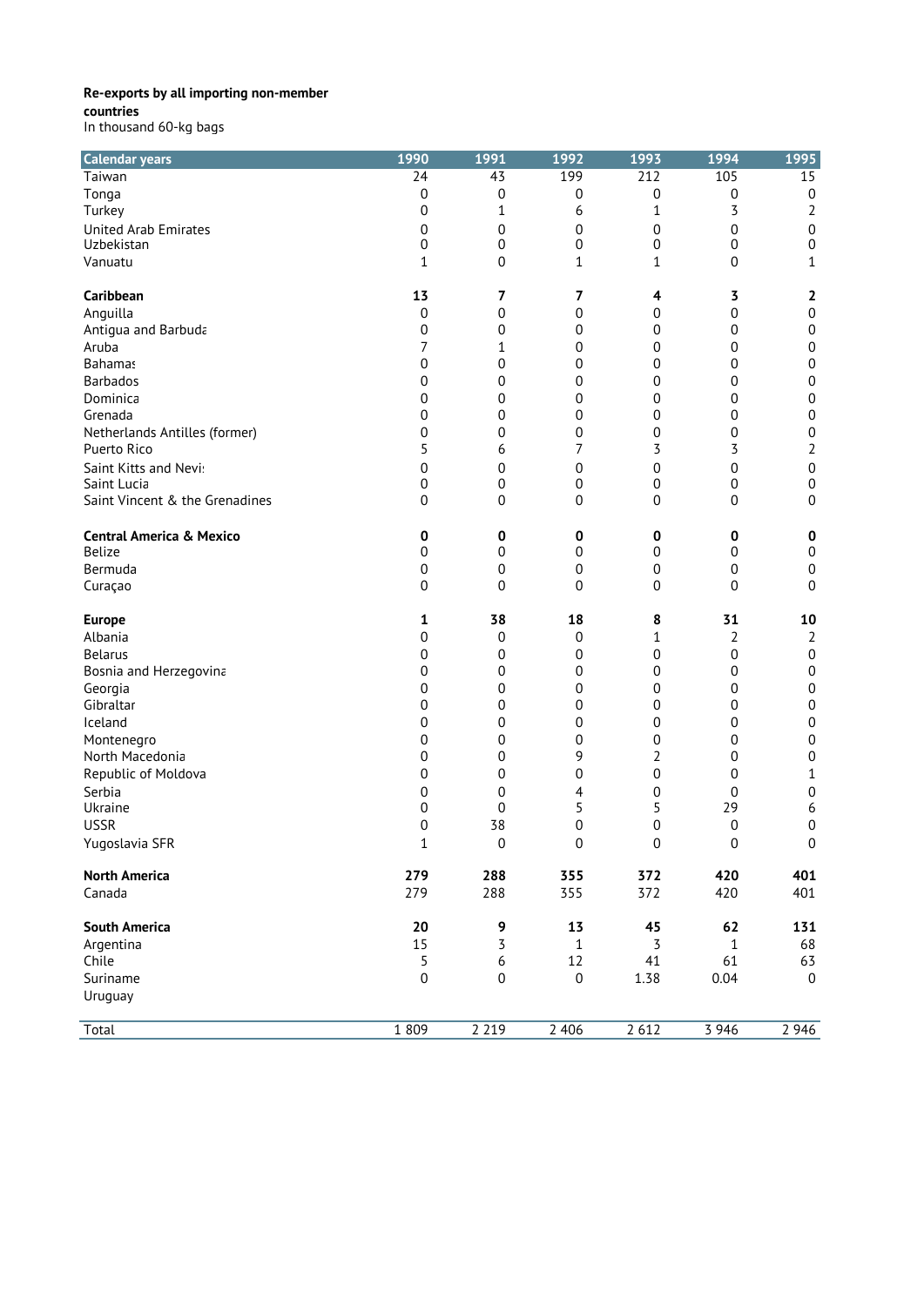**countries**

| <b>Calendar years</b>               | 1990             | 1991             | 1992             | 1993             | 1994         | 1995             |
|-------------------------------------|------------------|------------------|------------------|------------------|--------------|------------------|
| Taiwan                              | $\overline{24}$  | $\overline{43}$  | 199              | $\overline{212}$ | 105          | 15               |
| Tonga                               | 0                | $\boldsymbol{0}$ | 0                | 0                | 0            | $\boldsymbol{0}$ |
| Turkey                              | 0                | 1                | 6                | 1                | 3            | $\overline{2}$   |
| <b>United Arab Emirates</b>         | 0                | 0                | 0                | 0                | 0            | $\boldsymbol{0}$ |
| Uzbekistan                          | 0                | $\mathbf 0$      | 0                | 0                | 0            | $\boldsymbol{0}$ |
| Vanuatu                             | 1                | $\mathbf 0$      | 1                | 1                | 0            | 1                |
|                                     |                  |                  |                  |                  |              |                  |
| Caribbean                           | 13               | 7                | 7                | 4                | 3            | 2                |
| Anguilla                            | 0                | 0                | $\boldsymbol{0}$ | 0                | 0            | $\boldsymbol{0}$ |
| Antigua and Barbuda                 | 0                | 0                | 0                | 0                | 0            | $\boldsymbol{0}$ |
| Aruba                               | 7                | 1                | 0                | 0                | 0            | $\boldsymbol{0}$ |
| <b>Bahamas</b>                      | 0                | 0                | 0                | 0                | 0            | $\pmb{0}$        |
| <b>Barbados</b>                     | 0                | 0                | 0                | $\boldsymbol{0}$ | 0            | $\boldsymbol{0}$ |
| Dominica                            | 0                | 0                | $\boldsymbol{0}$ | 0                | 0            | $\boldsymbol{0}$ |
| Grenada                             | 0                | 0                | 0                | 0                | 0            | 0                |
| Netherlands Antilles (former)       | 0                | 0                | 0                | 0                | 0            | $\boldsymbol{0}$ |
| Puerto Rico                         | 5                | 6                | 7                | 3                | 3            | $\overline{2}$   |
| Saint Kitts and Nevi:               | 0                | 0                | 0                | 0                | 0            | $\boldsymbol{0}$ |
| Saint Lucia                         | 0                | $\mathbf 0$      | 0                | $\boldsymbol{0}$ | 0            | $\boldsymbol{0}$ |
| Saint Vincent & the Grenadines      | $\mathbf 0$      | 0                | $\boldsymbol{0}$ | 0                | 0            | $\boldsymbol{0}$ |
| <b>Central America &amp; Mexico</b> | 0                | 0                | 0                | 0                | 0            | 0                |
| <b>Belize</b>                       | 0                | $\mathbf 0$      | 0                | 0                | 0            | $\boldsymbol{0}$ |
| Bermuda                             | 0                | $\mathbf 0$      | $\mathbf 0$      | 0                | 0            | $\boldsymbol{0}$ |
| Curaçao                             | $\overline{0}$   | $\mathbf 0$      | $\overline{0}$   | 0                | 0            | $\mathbf 0$      |
|                                     | 1                | 38               | 18               |                  | 31           | 10               |
| <b>Europe</b><br>Albania            | 0                | $\mathbf 0$      | $\boldsymbol{0}$ | 8<br>1           | 2            | $\overline{2}$   |
| <b>Belarus</b>                      | 0                | 0                | 0                | 0                | 0            | $\boldsymbol{0}$ |
| Bosnia and Herzegovina              | 0                | 0                | 0                | 0                | 0            | $\boldsymbol{0}$ |
| Georgia                             | 0                | 0                | 0                | $\boldsymbol{0}$ | 0            | $\boldsymbol{0}$ |
| Gibraltar                           | 0                | 0                | $\boldsymbol{0}$ | 0                | 0            | $\boldsymbol{0}$ |
| Iceland                             | 0                | 0                | 0                | 0                | 0            | 0                |
| Montenegro                          | 0                | 0                | 0                | 0                | 0            | 0                |
| North Macedonia                     | 0                | 0                | 9                | 2                | 0            | $\boldsymbol{0}$ |
| Republic of Moldova                 | 0                | 0                | 0                | 0                | 0            | 1                |
| Serbia                              | 0                | 0                | 4                | 0                | 0            | 0                |
| Ukraine                             | 0                | 0                | 5                | 5                | 29           | 6                |
| <b>USSR</b>                         | 0                | 38               | 0                | 0                | 0            | 0                |
| Yugoslavia SFR                      | 1                | 0                | 0                | 0                | 0            | 0                |
|                                     |                  |                  |                  |                  |              |                  |
| <b>North America</b>                | 279              | 288              | 355              | 372              | 420          | 401              |
| Canada                              | 279              | 288              | 355              | 372              | 420          | 401              |
| <b>South America</b>                | 20               | 9                | 13               | 45               | 62           | 131              |
| Argentina                           | 15               | 3                | 1                | 3                | $\mathbf{1}$ | 68               |
| Chile                               | 5                | $\boldsymbol{6}$ | 12               | 41               | 61           | 63               |
| Suriname                            | $\boldsymbol{0}$ | $\boldsymbol{0}$ | $\boldsymbol{0}$ | 1.38             | 0.04         | $\mathbf 0$      |
| Uruguay                             |                  |                  |                  |                  |              |                  |
|                                     |                  |                  |                  |                  |              |                  |
| Total                               | 1 8 0 9          | 2 2 1 9          | 2 4 0 6          | 2612             | 3 9 4 6      | 2 9 4 6          |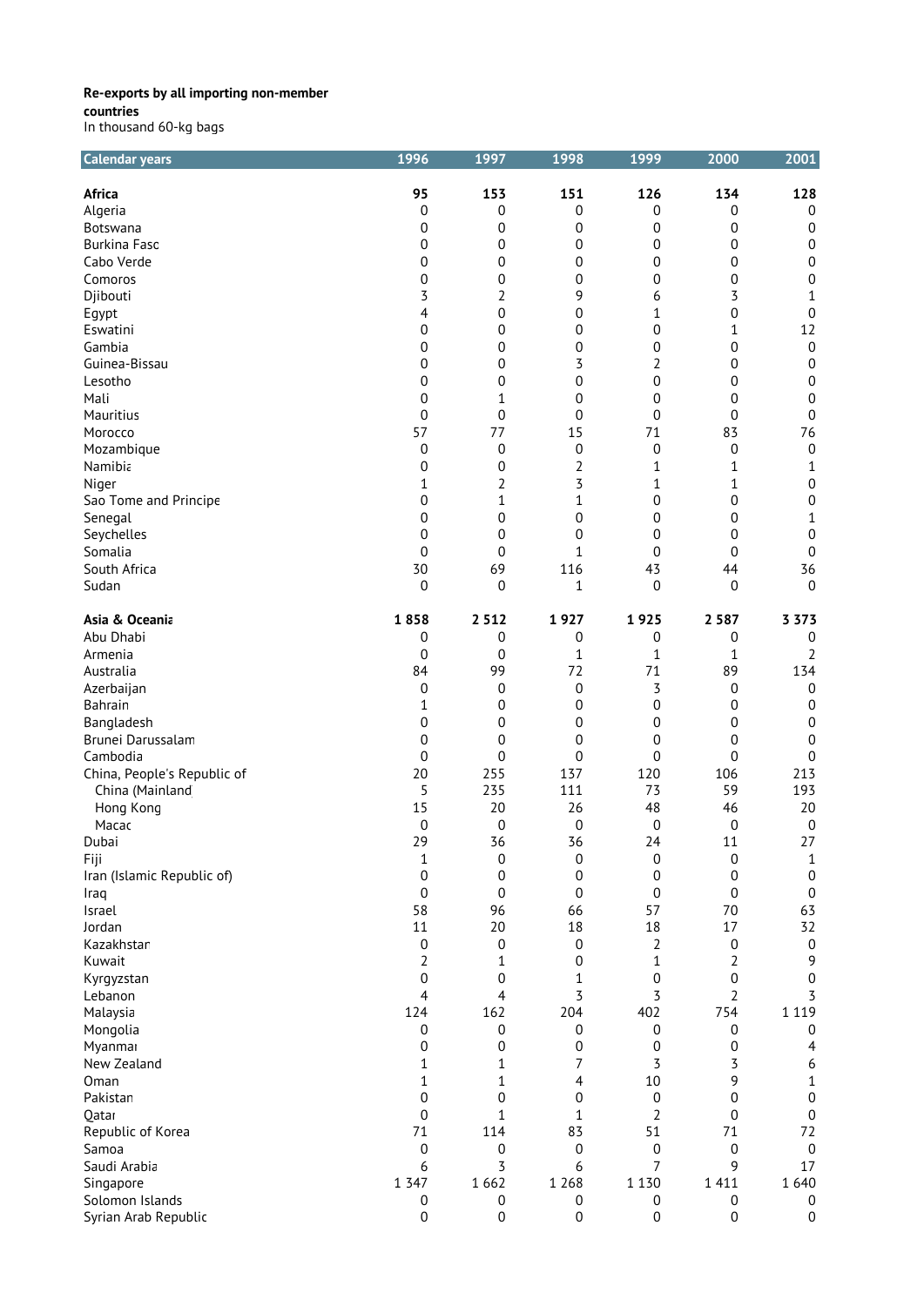| <b>Calendar years</b>       | 1996             | 1997             | 1998             | 1999             | 2000                | 2001             |
|-----------------------------|------------------|------------------|------------------|------------------|---------------------|------------------|
| <b>Africa</b>               | 95               | 153              | 151              | 126              | 134                 | 128              |
| Algeria                     | 0                | 0                | 0                | 0                | 0                   | $\boldsymbol{0}$ |
| Botswana                    | 0                | 0                | 0                | 0                | 0                   | $\boldsymbol{0}$ |
| <b>Burkina Fasc</b>         | 0                | $\mathbf 0$      | 0                | 0                | 0                   | $\boldsymbol{0}$ |
| Cabo Verde                  | 0                | 0                | 0                | 0                | 0                   | $\boldsymbol{0}$ |
| Comoros                     | 0                | 0                | 0                | 0                | 0                   | $\boldsymbol{0}$ |
| Djibouti                    | 3                | 2                | 9                | 6                | 3                   | 1                |
| Egypt                       | 4                | 0                | $\boldsymbol{0}$ | 1                | 0                   | $\boldsymbol{0}$ |
| Eswatini                    | 0                | 0                | 0                | 0                | 1                   | 12               |
| Gambia                      | 0                | 0                | $\boldsymbol{0}$ | 0                | 0                   | $\boldsymbol{0}$ |
| Guinea-Bissau               | 0                | 0                | 3                | 2                | 0                   | $\boldsymbol{0}$ |
| Lesotho                     | 0                | 0                | 0                | 0                | 0                   | 0                |
| Mali                        | 0                | 1                | $\mathbf 0$      | 0                | 0                   | $\boldsymbol{0}$ |
| Mauritius                   | $\mathbf 0$      | 0                | 0                | 0                | 0                   | $\boldsymbol{0}$ |
| Morocco                     | 57               | 77               | 15               | 71               | 83                  | 76               |
| Mozambique                  | $\boldsymbol{0}$ | $\boldsymbol{0}$ | $\boldsymbol{0}$ | 0                | 0                   | $\boldsymbol{0}$ |
| Namibia                     | 0                | 0                | $\overline{2}$   | 1                | 1                   | 1                |
| Niger                       | 1                | 2                | 3                | 1                | 1                   | $\boldsymbol{0}$ |
| Sao Tome and Principe       | 0                | 1                | $\mathbf{1}$     | 0                | 0                   | $\boldsymbol{0}$ |
| Senegal                     | 0                | 0                | $\boldsymbol{0}$ | 0                | 0                   | $\mathbf{1}$     |
| Seychelles                  | 0                | 0                | 0                | 0                | 0                   | 0                |
| Somalia                     | 0                | $\mathbf 0$      | $\mathbf{1}$     | 0                | 0                   | $\boldsymbol{0}$ |
| South Africa                | 30               | 69               | 116              | 43               | 44                  | 36               |
| Sudan                       | $\overline{0}$   | $\mathbf 0$      | 1                | $\overline{0}$   | $\mathbf 0$         | $\mathbf 0$      |
|                             |                  |                  |                  |                  |                     |                  |
| Asia & Oceania              | 1858             | 2 5 1 2          | 1927             | 1925             | 2 5 8 7             | 3 3 7 3          |
| Abu Dhabi                   | 0                | 0                | 0                | 0                | 0                   | $\boldsymbol{0}$ |
| Armenia                     | 0                | $\mathbf 0$      | $\mathbf 1$      | 1                | 1                   | $\overline{2}$   |
| Australia                   | 84               | 99               | 72               | 71               | 89                  | 134              |
| Azerbaijan                  | 0                | $\mathbf 0$      | $\mathbf 0$      | 3                | $\boldsymbol{0}$    | 0                |
| Bahrain                     | 1                | $\boldsymbol{0}$ | 0                | $\mathbf 0$      | 0                   | $\boldsymbol{0}$ |
| Bangladesh                  | 0                | 0                | $\boldsymbol{0}$ | 0                | 0                   | $\boldsymbol{0}$ |
| Brunei Darussalam           | 0                | 0                | 0                | 0                | 0                   | $\boldsymbol{0}$ |
| Cambodia                    | 0                | $\boldsymbol{0}$ | 0                | 0                | 0                   | $\boldsymbol{0}$ |
| China, People's Republic of | 20               | 255              | 137              | 120              | 106                 | 213              |
| China (Mainland             | 5                | 235              | 111              | 73               | 59                  | 193              |
| Hong Kong                   | 15               | 20               | 26               | 48               | 46                  | 20               |
| Macac                       | 0                | $\mathbf 0$      | $\boldsymbol{0}$ | 0                | $\mathbf 0$         | $\boldsymbol{0}$ |
| Dubai                       | 29               | 36               | 36               | 24               | 11                  | 27               |
| Fiji                        | 1                | $\boldsymbol{0}$ | 0                | 0                | 0                   | 1                |
| Iran (Islamic Republic of)  | 0                | 0                | $\boldsymbol{0}$ | 0                | 0                   | $\boldsymbol{0}$ |
| Iraq                        | 0                | $\mathbf 0$      | $\mathbf 0$      | $\mathbf 0$      | 0                   | $\pmb{0}$        |
| Israel                      | 58               | 96               | 66               | 57               | 70                  | 63               |
| Jordan                      | 11               | 20               | 18               | 18               | 17                  | 32               |
| Kazakhstar                  | $\boldsymbol{0}$ | $\boldsymbol{0}$ | $\boldsymbol{0}$ | 2                | 0                   | $\boldsymbol{0}$ |
| Kuwait                      | 2                | 1                | 0                | $\mathbf 1$      | 2                   | 9                |
| Kyrgyzstan                  | $\pmb{0}$<br>4   | 0<br>4           | $\mathbf 1$<br>3 | 0<br>3           | 0<br>$\overline{2}$ | $\mathbf 0$<br>3 |
| Lebanon                     |                  |                  |                  |                  |                     |                  |
| Malaysia                    | 124              | 162              | 204              | 402              | 754                 | 1 1 1 9          |
| Mongolia                    | 0                | 0                | 0                | $\boldsymbol{0}$ | 0                   | $\boldsymbol{0}$ |
| Myanmar                     | 0                | 0                | 0                | 0                | 0                   | 4                |
| New Zealand                 | 1                | 1                | 7                | 3                | 3                   | 6                |
| Oman                        | 1                | 1                | 4                | 10               | 9                   | 1                |
| Pakistan                    | $\overline{0}$   | 0                | 0                | 0                | 0                   | $\boldsymbol{0}$ |
| Qatar                       | 0                | 1                | $\mathbf 1$      | $\overline{2}$   | 0                   | $\boldsymbol{0}$ |
| Republic of Korea           | 71               | 114              | 83               | 51               | 71                  | 72               |
| Samoa                       | $\boldsymbol{0}$ | $\mathbf 0$      | $\boldsymbol{0}$ | 0                | 0                   | $\boldsymbol{0}$ |
| Saudi Arabia                | 6                | 3                | 6                | 7                | 9                   | 17               |
| Singapore                   | 1 3 4 7          | 1662             | 1 2 6 8          | 1 1 3 0          | 1 4 1 1             | 1 640            |
| Solomon Islands             | 0                | 0                | 0                | 0                | 0                   | 0                |
| Syrian Arab Republic        | 0                | $\boldsymbol{0}$ | 0                | 0                | $\boldsymbol{0}$    | $\boldsymbol{0}$ |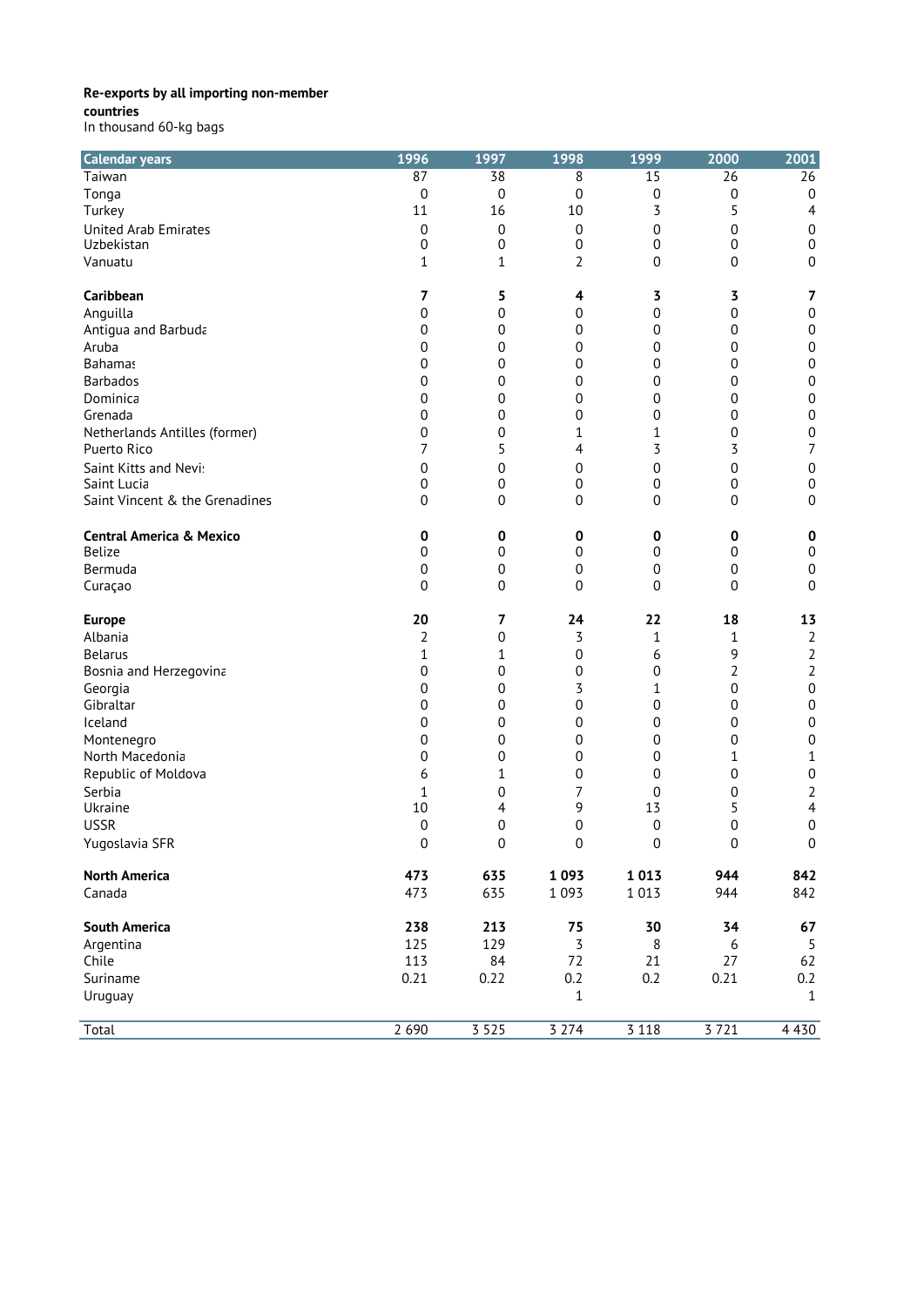**countries**

| <b>Calendar years</b>                        | 1996             | 1997             | 1998             | 1999             | 2000             | 2001                                 |
|----------------------------------------------|------------------|------------------|------------------|------------------|------------------|--------------------------------------|
| Taiwan                                       | 87               | 38               | 8                | 15               | 26               | 26                                   |
| Tonga                                        | 0                | 0                | 0                | 0                | 0                | $\mathbf 0$                          |
| Turkey                                       | 11               | 16               | 10               | 3                | 5                | 4                                    |
| <b>United Arab Emirates</b>                  | $\boldsymbol{0}$ | $\boldsymbol{0}$ | $\boldsymbol{0}$ | 0                | 0                | $\boldsymbol{0}$                     |
| Uzbekistan                                   | 0                | $\mathbf 0$      | 0                | 0                | 0                | $\boldsymbol{0}$                     |
| Vanuatu                                      | 1                | 1                | 2                | 0                | 0                | $\boldsymbol{0}$                     |
| Caribbean                                    | 7                | 5                | 4                | 3                | 3                | $\overline{7}$                       |
| Anguilla                                     | 0                | 0                | 0                | 0                | 0                | $\boldsymbol{0}$                     |
|                                              | 0                | 0                | 0                | 0                | 0                | $\boldsymbol{0}$                     |
| Antigua and Barbuda<br>Aruba                 | 0                | 0                | 0                | 0                | 0                | $\boldsymbol{0}$                     |
| <b>Bahamas</b>                               | 0                | $\boldsymbol{0}$ | 0                | 0                | 0                | $\boldsymbol{0}$                     |
| <b>Barbados</b>                              |                  |                  | 0                | 0                | 0                | $\boldsymbol{0}$                     |
|                                              | 0                | 0                |                  |                  |                  | $\boldsymbol{0}$                     |
| Dominica                                     | 0                | 0                | 0                | 0                | 0                |                                      |
| Grenada                                      | 0<br>0           | 0<br>0           | 0<br>1           | 0<br>1           | 0<br>0           | $\boldsymbol{0}$<br>$\boldsymbol{0}$ |
| Netherlands Antilles (former)<br>Puerto Rico | 7                | 5                | 4                | 3                | 3                | $\overline{7}$                       |
| Saint Kitts and Nevi:                        | 0                | 0                | 0                | 0                | $\mathbf 0$      | $\boldsymbol{0}$                     |
| Saint Lucia                                  | 0                | 0                | 0                | 0                | 0                | $\boldsymbol{0}$                     |
| Saint Vincent & the Grenadines               | 0                | 0                | 0                | 0                | 0                | $\boldsymbol{0}$                     |
|                                              |                  |                  |                  |                  |                  |                                      |
| <b>Central America &amp; Mexico</b>          | 0                | 0                | 0                | $\pmb{0}$        | 0                | 0                                    |
| <b>Belize</b>                                | 0                | $\mathbf 0$      | $\boldsymbol{0}$ | 0                | $\mathbf 0$      | $\boldsymbol{0}$                     |
| Bermuda                                      | 0                | $\boldsymbol{0}$ | $\boldsymbol{0}$ | 0                | $\boldsymbol{0}$ | $\boldsymbol{0}$                     |
| Curaçao                                      | $\overline{0}$   | 0                | $\boldsymbol{0}$ | 0                | 0                | 0                                    |
| <b>Europe</b>                                | 20               | 7                | 24               | 22               | 18               | 13                                   |
| Albania                                      | 2                | 0                | 3                | 1                | 1                | $\overline{2}$                       |
| <b>Belarus</b>                               | 1                | 1                | 0                | 6                | 9                | $\overline{2}$                       |
| Bosnia and Herzegovina                       | 0                | $\boldsymbol{0}$ | 0                | 0                | 2                | $\overline{2}$                       |
| Georgia                                      | 0                | 0                | 3                | 1                | 0                | $\boldsymbol{0}$                     |
| Gibraltar                                    | 0                | 0                | 0                | 0                | 0                | $\boldsymbol{0}$                     |
| Iceland                                      | 0                | 0                | 0                | 0                | 0                | $\boldsymbol{0}$                     |
| Montenegro                                   | 0                | 0                | 0                | 0                | 0                | $\boldsymbol{0}$                     |
| North Macedonia                              | 0                | 0                | 0                | 0                | 1                | $\mathbf 1$                          |
| Republic of Moldova                          | 6                | 1                | 0                | 0                | $\mathbf 0$      | $\boldsymbol{0}$                     |
| Serbia                                       | 1                | 0                | 7                | 0                | 0                | 2                                    |
| Ukraine                                      | 10               | 4                | 9                | 13               | 5                | 4                                    |
| <b>USSR</b>                                  | $\boldsymbol{0}$ | 0                | 0                | 0                | 0                | $\boldsymbol{0}$                     |
| Yugoslavia SFR                               | 0                | 0                | 0                | $\boldsymbol{0}$ | $\pmb{0}$        | 0                                    |
| <b>North America</b>                         | 473              | 635              | 1093             | 1013             | 944              | 842                                  |
| Canada                                       | 473              | 635              | 1 0 9 3          | 1 0 1 3          | 944              | 842                                  |
|                                              |                  |                  |                  |                  |                  |                                      |
| <b>South America</b>                         | 238              | 213              | 75               | 30               | 34               | 67                                   |
| Argentina                                    | 125              | 129              | 3                | 8                | 6                | 5                                    |
| Chile                                        | 113              | 84               | 72               | 21               | 27               | 62                                   |
| Suriname                                     | 0.21             | 0.22             | 0.2              | 0.2              | 0.21             | 0.2                                  |
| Uruguay                                      |                  |                  | $1\,$            |                  |                  | $\mathbf{1}$                         |
| Total                                        | 2 6 9 0          | 3525             | 3274             | 3118             | 3721             | 4 4 3 0                              |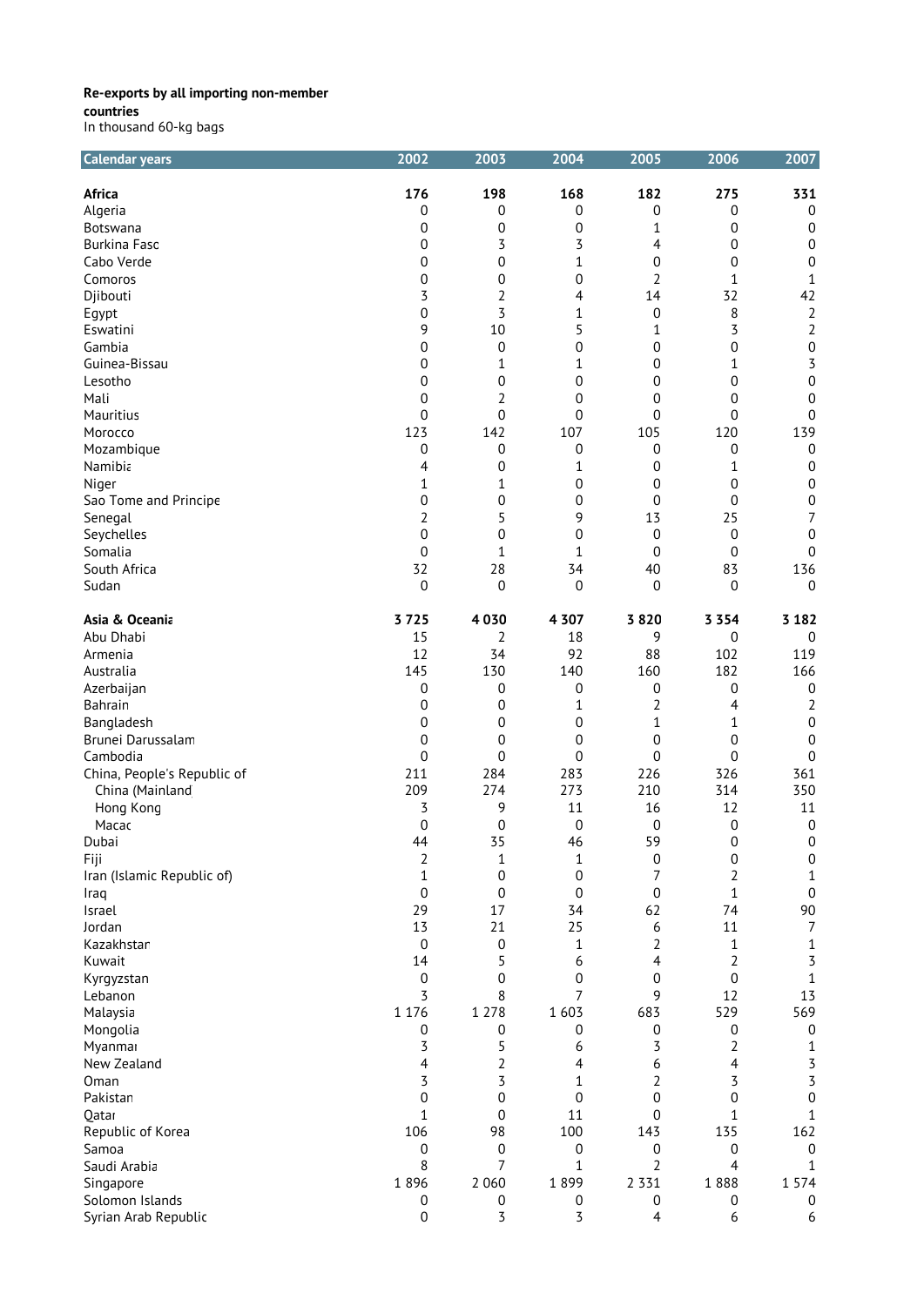| <b>Calendar years</b>       | 2002           | 2003             | 2004             | 2005             | 2006             | 2007             |
|-----------------------------|----------------|------------------|------------------|------------------|------------------|------------------|
| <b>Africa</b>               | 176            | 198              | 168              | 182              | 275              | 331              |
| Algeria                     | 0              | 0                | 0                | $\boldsymbol{0}$ | 0                | $\boldsymbol{0}$ |
| Botswana                    | 0              | 0                | $\mathbf 0$      | $1\,$            | 0                | $\boldsymbol{0}$ |
| <b>Burkina Faso</b>         | 0              | 3                | 3                | 4                | 0                | $\boldsymbol{0}$ |
| Cabo Verde                  | 0              | 0                | $\mathbf 1$      | 0                | 0                | $\boldsymbol{0}$ |
| Comoros                     | 0              | 0                | 0                | $\overline{2}$   | $\mathbf{1}$     | 1                |
| Djibouti                    | 3              | 2                | 4                | 14               | 32               | 42               |
|                             | 0              | 3                | $\mathbf 1$      | $\boldsymbol{0}$ | 8                | $\sqrt{2}$       |
| Egypt                       |                | 10               |                  |                  |                  |                  |
| Eswatini                    | 9              |                  | 5                | $\mathbf 1$      | 3                | $\overline{2}$   |
| Gambia                      | 0              | $\boldsymbol{0}$ | 0                | 0                | 0                | $\boldsymbol{0}$ |
| Guinea-Bissau               | 0              | 1                | $\mathbf 1$      | 0                | 1                | 3                |
| Lesotho                     | 0              | 0                | 0                | 0                | 0                | $\boldsymbol{0}$ |
| Mali                        | 0              | 2                | 0                | 0                | 0                | $\boldsymbol{0}$ |
| Mauritius                   | 0              | 0                | 0                | 0                | 0                | $\boldsymbol{0}$ |
| Morocco                     | 123            | 142              | 107              | 105              | 120              | 139              |
| Mozambique                  | 0              | $\mathbf 0$      | 0                | $\boldsymbol{0}$ | $\pmb{0}$        | $\boldsymbol{0}$ |
| Namibia                     | 4              | 0                | 1                | $\mathbf 0$      | 1                | $\pmb{0}$        |
| Niger                       | 1              | 1                | 0                | $\mathbf 0$      | $\mathbf 0$      | $\pmb{0}$        |
| Sao Tome and Principe       | 0              | 0                | 0                | 0                | 0                | $\boldsymbol{0}$ |
| Senegal                     | $\overline{2}$ | 5                | 9                | 13               | 25               | 7                |
| Seychelles                  | 0              | 0                | 0                | $\mathbf 0$      | $\mathbf 0$      | $\boldsymbol{0}$ |
| Somalia                     | 0              | 1                | 1                | 0                | 0                | $\boldsymbol{0}$ |
| South Africa                | 32             | 28               | 34               | 40               | 83               | 136              |
|                             |                |                  |                  |                  |                  |                  |
| Sudan                       | $\overline{0}$ | $\mathbf 0$      | $\overline{0}$   | $\overline{0}$   | $\mathbf 0$      | $\mathbf{0}$     |
| Asia & Oceania              | 3725           | 4030             | 4 3 0 7          | 3820             | 3 3 5 4          | 3 1 8 2          |
| Abu Dhabi                   | 15             | 2                | 18               | 9                | 0                | $\pmb{0}$        |
| Armenia                     | 12             | 34               | 92               | 88               | 102              | 119              |
| Australia                   | 145            | 130              | 140              | 160              | 182              | 166              |
| Azerbaijan                  | 0              | 0                | 0                | 0                | 0                | 0                |
| Bahrain                     | 0              | 0                | 1                | $\overline{2}$   | 4                | 2                |
| Bangladesh                  | 0              | 0                | 0                | $1\,$            | 1                | $\boldsymbol{0}$ |
| Brunei Darussalam           | 0              | 0                | 0                | 0                | 0                | $\boldsymbol{0}$ |
| Cambodia                    | 0              | 0                | 0                | 0                | $\mathbf 0$      | $\boldsymbol{0}$ |
| China, People's Republic of | 211            | 284              | 283              | 226              | 326              | 361              |
| China (Mainland             | 209            | 274              | 273              | 210              | 314              | 350              |
| Hong Kong                   | 3              | 9                | 11               | 16               | 12               | 11               |
| Macac                       |                |                  |                  |                  |                  |                  |
|                             | 0              | 0                | $\mathbf 0$      | 0                | $\boldsymbol{0}$ | 0                |
| Dubai                       | 44             | 35               | 46               | 59               | $\boldsymbol{0}$ | $\boldsymbol{0}$ |
| Fiji                        | 2              | $\mathbf 1$      | 1                | $\mathbf 0$      | $\boldsymbol{0}$ | $\boldsymbol{0}$ |
| Iran (Islamic Republic of)  | 1              | 0                | 0                | 7                | 2                | 1                |
| Iraq                        | 0              | $\mathbf 0$      | $\overline{0}$   | $\overline{0}$   | 1                | $\boldsymbol{0}$ |
| Israel                      | 29             | 17               | 34               | 62               | 74               | 90               |
| Jordan                      | 13             | 21               | 25               | 6                | 11               | 7                |
| Kazakhstar                  | $\mathbf 0$    | $\boldsymbol{0}$ | $\mathbf 1$      | 2                | 1                | $\mathbf{1}$     |
| Kuwait                      | 14             | 5                | 6                | 4                | $\overline{2}$   | 3                |
| Kyrgyzstan                  | 0              | 0                | 0                | $\boldsymbol{0}$ | $\mathbf 0$      | $\mathbf 1$      |
| Lebanon                     | 3              | 8                | 7                | 9                | 12               | 13               |
| Malaysia                    | 1 1 7 6        | 1 2 7 8          | 1 6 0 3          | 683              | 529              | 569              |
| Mongolia                    | 0              | 0                | 0                | 0                | 0                | $\boldsymbol{0}$ |
| Myanmar                     | 3              | 5                | 6                | 3                | $\overline{2}$   | 1                |
| New Zealand                 | 4              | 2                | 4                | 6                | 4                | 3                |
| Oman                        | 3              | 3                | 1                | 2                | 3                | 3                |
|                             |                | 0                | $\mathbf 0$      |                  | 0                | $\boldsymbol{0}$ |
| Pakistan                    | 0              |                  |                  | 0                |                  |                  |
| Qatar                       | 1              | $\mathbf 0$      | 11               | $\boldsymbol{0}$ | 1                | 1                |
| Republic of Korea           | 106            | 98               | 100              | 143              | 135              | 162              |
| Samoa                       | 0              | $\boldsymbol{0}$ | $\boldsymbol{0}$ | $\boldsymbol{0}$ | 0                | $\boldsymbol{0}$ |
| Saudi Arabia                | 8              | 7                | $\mathbf 1$      | 2                | 4                | $\mathbf 1$      |
| Singapore                   | 1896           | 2 0 6 0          | 1899             | 2 3 3 1          | 1888             | 1 5 7 4          |
| Solomon Islands             | 0              | 0                | 0                | 0                | 0                | 0                |
| Syrian Arab Republic        | 0              | 3                | 3                | $\overline{4}$   | 6                | 6                |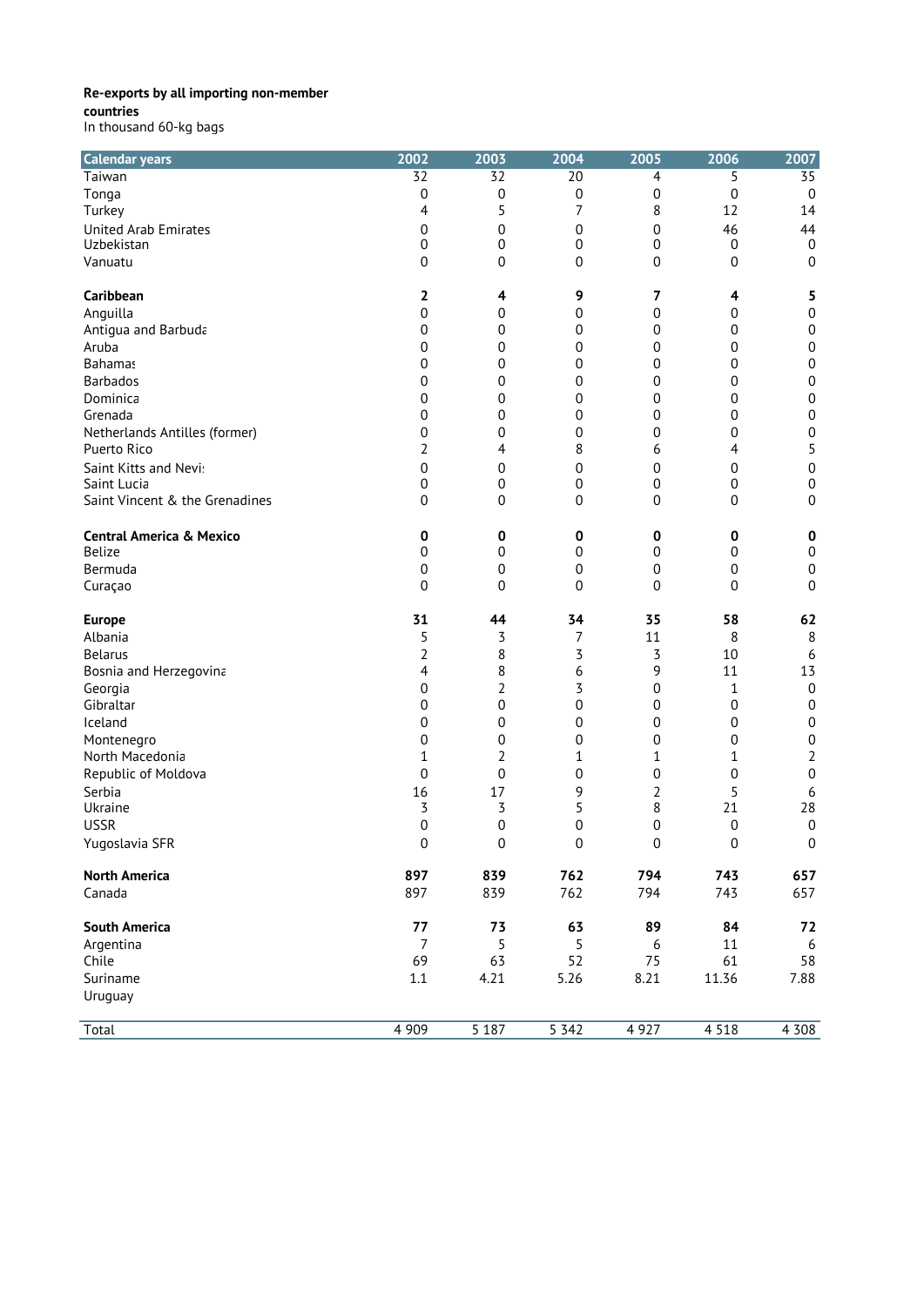**countries**

| In thousand 60-kg bags |  |  |
|------------------------|--|--|
|------------------------|--|--|

| <b>Calendar years</b>               | 2002            | 2003             | 2004             | 2005           | 2006        | 2007             |
|-------------------------------------|-----------------|------------------|------------------|----------------|-------------|------------------|
| Taiwan                              | $\overline{32}$ | $\overline{32}$  | $\overline{20}$  | $\overline{4}$ | 5           | $\overline{35}$  |
| Tonga                               | 0               | $\boldsymbol{0}$ | $\boldsymbol{0}$ | 0              | $\mathbf 0$ | $\boldsymbol{0}$ |
| Turkey                              | 4               | 5                | 7                | 8              | 12          | 14               |
| <b>United Arab Emirates</b>         | 0               | 0                | 0                | 0              | 46          | 44               |
| Uzbekistan                          | 0               | 0                | 0                | 0              | 0           | $\mathbf 0$      |
| Vanuatu                             | 0               | 0                | 0                | 0              | 0           | $\mathbf 0$      |
| Caribbean                           | 2               | 4                | 9                | 7              | 4           | 5                |
| Anguilla                            | 0               | 0                | 0                | 0              | 0           | $\boldsymbol{0}$ |
| Antiqua and Barbuda                 | 0               | 0                | 0                | 0              | 0           | $\boldsymbol{0}$ |
| Aruba                               | 0               | 0                | 0                | 0              | 0           | $\boldsymbol{0}$ |
| <b>Bahamas</b>                      | 0               | 0                | 0                | 0              | 0           | 0                |
| <b>Barbados</b>                     | 0               | $\boldsymbol{0}$ | 0                | 0              | 0           | $\boldsymbol{0}$ |
| Dominica                            | 0               | 0                | 0                | 0              | 0           | $\boldsymbol{0}$ |
| Grenada                             | 0               | 0                | 0                | 0              | 0           | $\boldsymbol{0}$ |
| Netherlands Antilles (former)       | 0               | 0                | 0                | 0              | 0           | $\boldsymbol{0}$ |
| Puerto Rico                         | 2               | 4                | 8                | 6              | 4           | 5                |
| Saint Kitts and Nevi:               | 0               | 0                | 0                | 0              | 0           | $\boldsymbol{0}$ |
| Saint Lucia                         | 0               | 0                | $\boldsymbol{0}$ | 0              | $\pmb{0}$   | $\boldsymbol{0}$ |
| Saint Vincent & the Grenadines      | 0               | 0                | $\boldsymbol{0}$ | 0              | 0           | $\boldsymbol{0}$ |
|                                     |                 |                  |                  |                |             |                  |
| <b>Central America &amp; Mexico</b> | 0               | 0                | 0                | 0              | 0           | 0                |
| <b>Belize</b>                       | 0               | 0                | $\boldsymbol{0}$ | 0              | 0           | $\boldsymbol{0}$ |
| Bermuda                             | 0               | $\mathbf 0$      | 0                | 0              | 0           | $\boldsymbol{0}$ |
| Curaçao                             | $\overline{0}$  | $\mathbf 0$      | 0                | 0              | 0           | $\mathbf 0$      |
| <b>Europe</b>                       | 31              | 44               | 34               | 35             | 58          | 62               |
| Albania                             | 5               | 3                | $\overline{7}$   | 11             | 8           | $\,8\,$          |
| <b>Belarus</b>                      | 2               | 8                | 3                | 3              | 10          | 6                |
| Bosnia and Herzegovina              | 4               | 8                | 6                | 9              | 11          | 13               |
| Georgia                             | 0               | 2                | 3                | 0              | 1           | $\boldsymbol{0}$ |
| Gibraltar                           | 0               | $\boldsymbol{0}$ | $\boldsymbol{0}$ | 0              | 0           | $\boldsymbol{0}$ |
| Iceland                             | 0               | 0                | 0                | 0              | 0           | $\boldsymbol{0}$ |
| Montenegro                          | 0               | $\boldsymbol{0}$ | 0                | 0              | 0           | $\boldsymbol{0}$ |
| North Macedonia                     | 1               | 2                | 1                | 1              | 1           | $\overline{2}$   |
| Republic of Moldova                 | 0               | $\boldsymbol{0}$ | 0                | 0              | 0           | 0                |
| Serbia                              | 16              | 17               | 9                | $\overline{2}$ | 5           | 6                |
| Ukraine                             | 3               | 3                | 5                | 8              | 21          | 28               |
| <b>USSR</b>                         | 0               | $\boldsymbol{0}$ | 0                | 0              | 0           | $\boldsymbol{0}$ |
| Yugoslavia SFR                      | 0               | 0                | $\boldsymbol{0}$ | 0              | 0           | 0                |
| <b>North America</b>                | 897             | 839              | 762              | 794            | 743         | 657              |
| Canada                              | 897             | 839              | 762              | 794            | 743         | 657              |
|                                     |                 |                  |                  |                |             |                  |
| <b>South America</b>                | 77              | 73               | 63               | 89             | 84          | 72               |
| Argentina                           | $\overline{7}$  | 5                | 5                | 6              | 11          | $\boldsymbol{6}$ |
| Chile                               | 69              | 63               | 52               | 75             | 61          | 58               |
| Suriname                            | 1.1             | 4.21             | 5.26             | 8.21           | 11.36       | 7.88             |
| Uruguay                             |                 |                  |                  |                |             |                  |
| Total                               | 4 9 0 9         | 5187             | 5342             | 4 9 2 7        | 4 5 1 8     | 4 3 0 8          |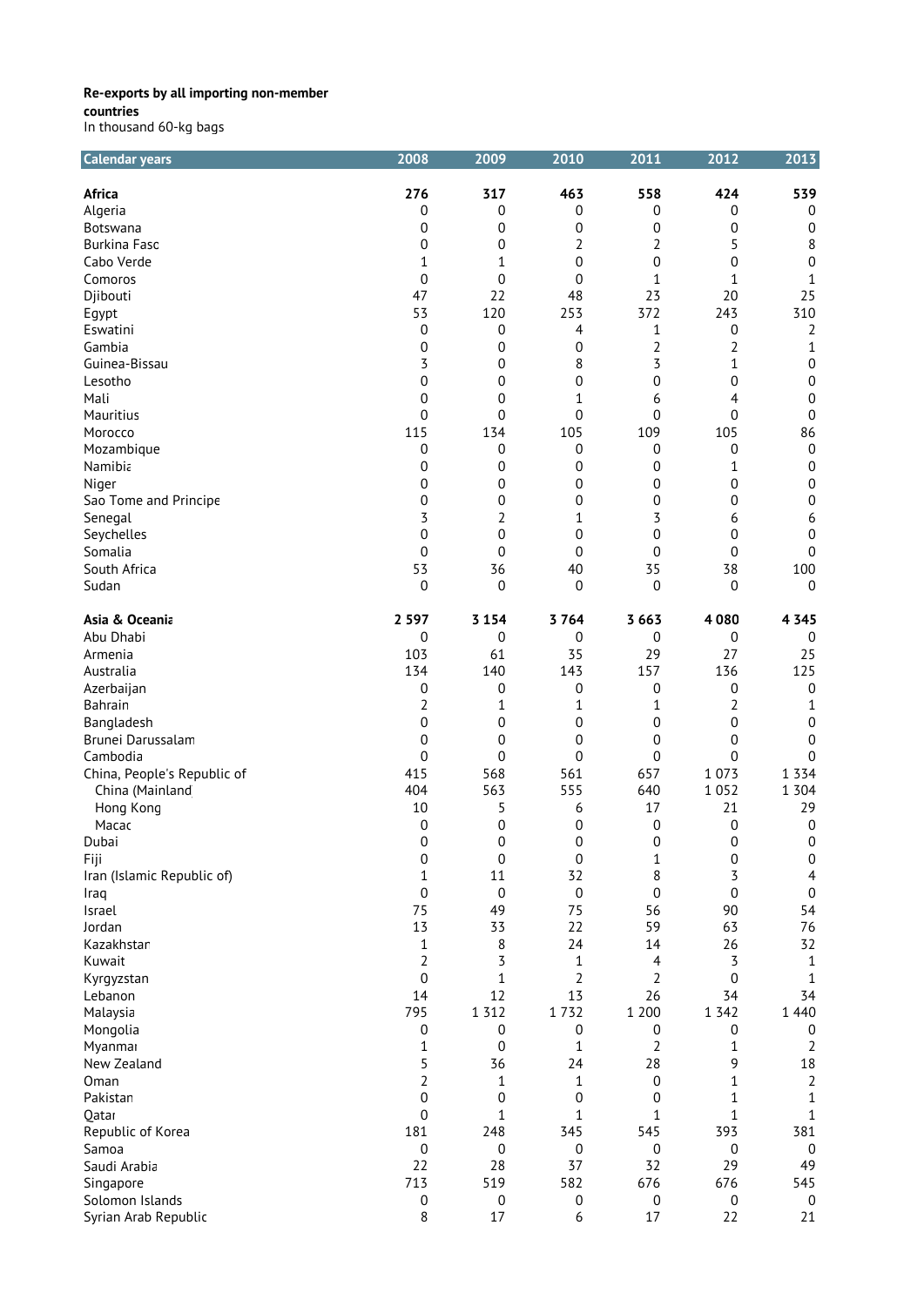| <b>Calendar years</b>           | 2008             | 2009             | 2010             | 2011             | 2012             | 2013             |
|---------------------------------|------------------|------------------|------------------|------------------|------------------|------------------|
| <b>Africa</b>                   | 276              | 317              | 463              | 558              | 424              | 539              |
| Algeria                         | 0                | 0                | 0                | 0                | 0                | 0                |
| Botswana                        | 0                | 0                | 0                | 0                | 0                | 0                |
| <b>Burkina Fasc</b>             | 0                | 0                | 2                | 2                | 5                | 8                |
| Cabo Verde                      | 1                | 1                | 0                | 0                | 0                | 0                |
| Comoros                         | 0                | 0                | 0                | 1                | 1                | $\mathbf 1$      |
| Djibouti                        | 47               | 22               | 48               | 23               | 20               | 25               |
|                                 | 53               | 120              | 253              | 372              | 243              | 310              |
| Egypt<br>Eswatini               | 0                | 0                | 4                | 1                | $\pmb{0}$        | $\overline{2}$   |
|                                 |                  |                  |                  |                  |                  |                  |
| Gambia                          | 0                | 0                | 0                | $\overline{2}$   | 2                | 1                |
| Guinea-Bissau                   | 3                | 0                | 8                | 3                | 1                | 0                |
| Lesotho                         | 0                | 0                | 0                | 0                | $\mathbf 0$      | $\boldsymbol{0}$ |
| Mali                            | 0                | 0                | 1                | 6                | 4                | 0                |
| Mauritius                       | 0                | 0                | 0                | 0                | 0                | 0                |
| Morocco                         | 115              | 134              | 105              | 109              | 105              | 86               |
| Mozambique                      | 0                | 0                | 0                | 0                | 0                | $\boldsymbol{0}$ |
| Namibia                         | 0                | 0                | 0                | 0                | 1                | $\mathbf 0$      |
| Niger                           | 0                | 0                | 0                | 0                | 0                | $\boldsymbol{0}$ |
| Sao Tome and Principe           | 0                | 0                | 0                | 0                | 0                | 0                |
| Senegal                         | 3                | 2                | 1                | 3                | 6                | 6                |
| Seychelles                      | 0                | 0                | 0                | 0                | 0                | 0                |
| Somalia                         | 0                | 0                | 0                | 0                | 0                | $\mathbf 0$      |
| South Africa                    | 53               | 36               | 40               | 35               | 38               | 100              |
| Sudan                           | 0                | $\boldsymbol{0}$ | 0                | 0                | $\mathbf 0$      | 0                |
| Asia & Oceania                  | 2 5 9 7          | 3 1 5 4          | 3764             | 3 6 6 3          | 4080             | 4 3 4 5          |
| Abu Dhabi                       | 0                | 0                | 0                | 0                | $\pmb{0}$        | $\mathbf 0$      |
| Armenia                         | 103              | 61               | 35               | 29               | 27               | 25               |
| Australia                       | 134              | 140              | 143              | 157              | 136              | 125              |
| Azerbaijan                      |                  |                  |                  | 0                | 0                |                  |
|                                 | 0                | 0                | 0                |                  |                  | 0                |
| Bahrain                         | $\overline{2}$   | 1                | 1                | 1                | 2                | 1                |
| Bangladesh<br>Brunei Darussalam | 0                | 0                | 0                | 0                | 0                | $\boldsymbol{0}$ |
|                                 | 0                | 0                | 0                | 0                | 0                | 0                |
| Cambodia                        | 0                | 0                | 0                | 0                | 0                | 0                |
| China, People's Republic of     | 415              | 568              | 561              | 657              | 1 0 7 3          | 1 3 3 4          |
| China (Mainland                 | 404              | 563              | 555              | 640              | 1 0 5 2          | 1 3 0 4          |
| Hong Kong                       | 10               | 5                | 6                | 17               | 21               | 29               |
| Macac                           | 0                | 0                | 0                | 0                | 0                | 0                |
| Dubai                           | $\Omega$         | $\Omega$         | $\Omega$         | 0                | $\Omega$         | $\Omega$         |
| Fiji                            | 0                | $\boldsymbol{0}$ | $\boldsymbol{0}$ | 1                | $\boldsymbol{0}$ | $\boldsymbol{0}$ |
| Iran (Islamic Republic of)      | 1                | 11               | 32               | 8                | 3                | $\overline{4}$   |
| Iraq                            | 0                | $\boldsymbol{0}$ | $\boldsymbol{0}$ | 0                | $\mathbf 0$      | $\boldsymbol{0}$ |
| Israel                          | 75               | 49               | 75               | 56               | 90               | 54               |
| Jordan                          | 13               | 33               | 22               | 59               | 63               | 76               |
| Kazakhstar                      | 1                | 8                | 24               | 14               | 26               | 32               |
| Kuwait                          | 2                | 3                | 1                | 4                | 3                | 1                |
| Kyrgyzstan                      | 0                | 1                | 2                | 2                | 0                | 1                |
| Lebanon                         | 14               | 12               | 13               | 26               | 34               | 34               |
| Malaysia                        | 795              | 1 3 1 2          | 1732             | 1 200            | 1 3 4 2          | 1 4 4 0          |
| Mongolia                        | 0                | 0                | 0                | 0                | 0                | 0                |
| Myanmar                         | 1                | $\boldsymbol{0}$ | 1                | $\overline{2}$   | 1                | $\overline{2}$   |
| New Zealand                     | 5                | 36               | 24               | 28               | 9                | 18               |
| Oman                            | $\overline{2}$   | 1                | 1                | 0                | 1                | $\overline{2}$   |
| Pakistan                        | $\boldsymbol{0}$ | $\boldsymbol{0}$ | 0                | $\boldsymbol{0}$ | 1                | $1\,$            |
| Qatar                           | 0                | 1                | $\mathbf 1$      | 1                | 1                | $\mathbf{1}$     |
| Republic of Korea               | 181              | 248              | 345              | 545              | 393              | 381              |
| Samoa                           | $\boldsymbol{0}$ | $\boldsymbol{0}$ | $\boldsymbol{0}$ | $\boldsymbol{0}$ | $\boldsymbol{0}$ | $\boldsymbol{0}$ |
| Saudi Arabia                    | 22               | 28               | 37               | 32               | 29               | 49               |
| Singapore                       | 713              | 519              | 582              | 676              | 676              | 545              |
| Solomon Islands                 | 0                | $\boldsymbol{0}$ | $\boldsymbol{0}$ | $\boldsymbol{0}$ | $\pmb{0}$        | $\boldsymbol{0}$ |
| Syrian Arab Republic            | 8                | 17               | 6                | 17               | 22               | 21               |
|                                 |                  |                  |                  |                  |                  |                  |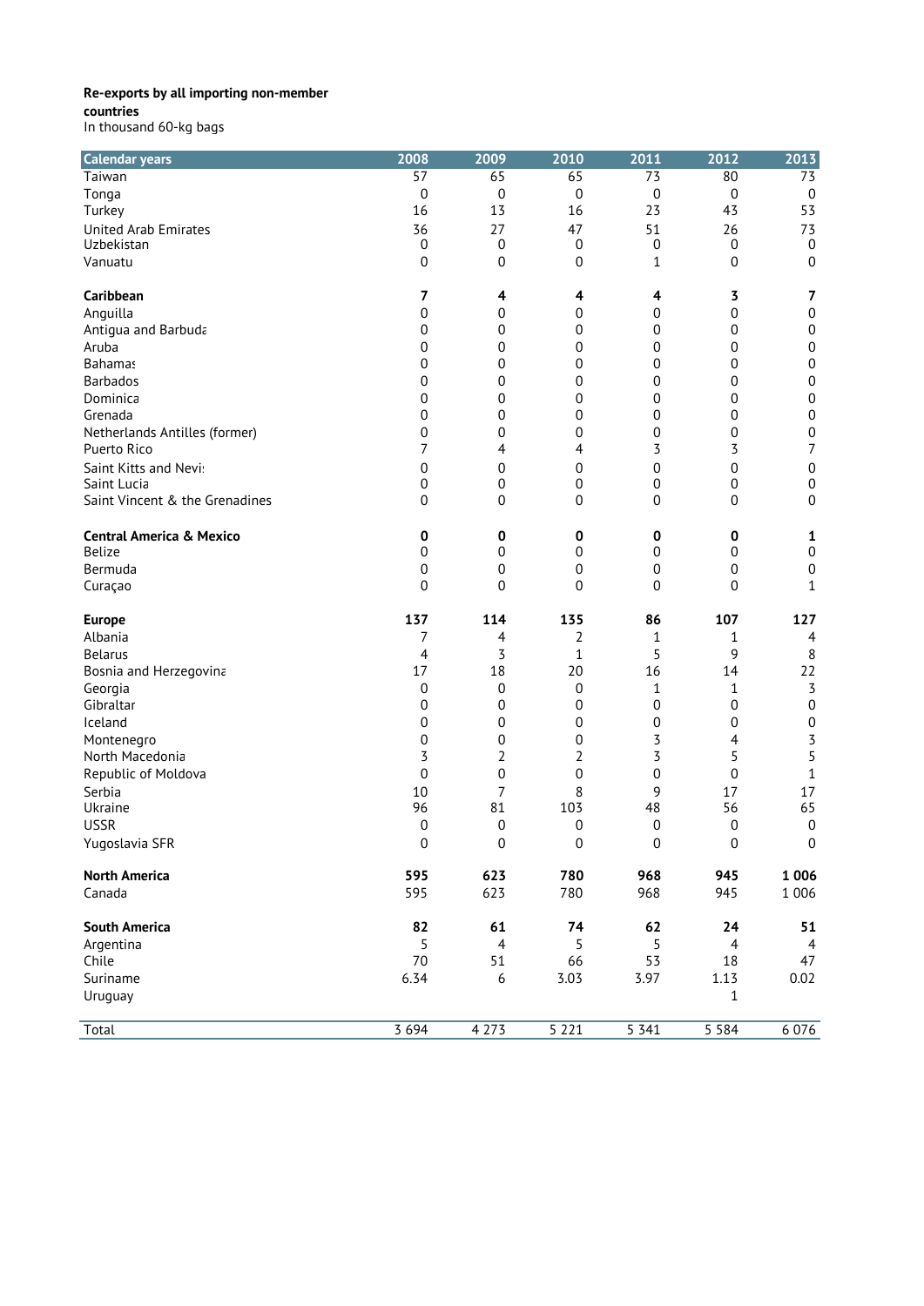**countries**

| <b>Calendar years</b>               | 2008            | 2009             | 2010                  | 2011             | 2012             | 2013             |
|-------------------------------------|-----------------|------------------|-----------------------|------------------|------------------|------------------|
| Taiwan                              | $\overline{57}$ | 65               | 65                    | $\overline{73}$  | 80               | $\overline{73}$  |
| Tonga                               | 0               | $\mathbf 0$      | $\mathbf 0$           | 0                | $\boldsymbol{0}$ | 0                |
| Turkey                              | 16              | 13               | 16                    | 23               | 43               | 53               |
| <b>United Arab Emirates</b>         | 36              | 27               | 47                    | 51               | 26               | 73               |
| Uzbekistan                          | $\mathbf 0$     | $\boldsymbol{0}$ | 0                     | 0                | $\mathbf 0$      | 0                |
| Vanuatu                             | 0               | $\boldsymbol{0}$ | 0                     | 1                | 0                | $\mathbf 0$      |
| Caribbean                           | 7               | 4                | 4                     | 4                | 3                | 7                |
| Anguilla                            | 0               | 0                | 0                     | 0                | 0                | $\boldsymbol{0}$ |
| Antigua and Barbuda                 | 0               | 0                | 0                     | 0                | 0                | $\boldsymbol{0}$ |
| Aruba                               | 0               | 0                | 0                     | 0                | 0                | 0                |
| <b>Bahamas</b>                      | 0               | 0                | 0                     | 0                | 0                | 0                |
| <b>Barbados</b>                     | 0               | 0                | $\boldsymbol{0}$      | 0                | 0                | $\boldsymbol{0}$ |
| Dominica                            | 0               | 0                | $\mathbf 0$           | $\mathbf 0$      | 0                | $\boldsymbol{0}$ |
| Grenada                             | 0               | 0                | 0                     | 0                | 0                | $\boldsymbol{0}$ |
| Netherlands Antilles (former)       | 0               | 0                | $\mathbf 0$           | 0                | 0                | $\boldsymbol{0}$ |
| Puerto Rico                         | 7               | 4                | 4                     | 3                | 3                | $\overline{7}$   |
| Saint Kitts and Nevi:               | 0               | 0                | 0                     | 0                | $\mathbf 0$      | $\boldsymbol{0}$ |
| Saint Lucia                         | 0               | $\pmb{0}$        | 0                     | $\pmb{0}$        | 0                | $\boldsymbol{0}$ |
| Saint Vincent & the Grenadines      | 0               | 0                | $\mathbf 0$           | 0                | 0                | 0                |
| <b>Central America &amp; Mexico</b> |                 |                  |                       |                  |                  |                  |
| <b>Belize</b>                       | 0<br>0          | 0<br>$\mathbf 0$ | 0<br>$\boldsymbol{0}$ | 0<br>0           | 0<br>0           | 1<br>0           |
| Bermuda                             | 0               | 0                | $\boldsymbol{0}$      | 0                | 0                | 0                |
| Curaçao                             | 0               | $\mathbf 0$      | $\overline{0}$        | $\overline{0}$   | 0                | $\mathbf{1}$     |
|                                     |                 |                  |                       |                  |                  |                  |
| <b>Europe</b>                       | 137             | 114              | 135                   | 86               | 107              | 127              |
| Albania                             | 7               | 4                | $\overline{2}$        | 1                | 1                | 4                |
| <b>Belarus</b>                      | 4               | 3                | $\mathbf 1$           | 5                | 9                | 8                |
| Bosnia and Herzegovina              | 17              | 18               | 20                    | 16               | 14               | 22               |
| Georgia                             | 0               | $\mathbf 0$      | $\boldsymbol{0}$      | 1                | $\mathbf{1}$     | $\overline{3}$   |
| Gibraltar                           | 0               | 0                | 0                     | $\mathbf 0$      | 0                | $\boldsymbol{0}$ |
| Iceland                             | 0               | 0                | 0                     | 0                | 0                | $\boldsymbol{0}$ |
| Montenegro                          | 0               | 0                | 0                     | 3                | 4                | 3                |
| North Macedonia                     | 3               | 2                | $\overline{2}$        | 3                | 5                | 5                |
| Republic of Moldova                 | 0               | $\mathbf 0$      | $\boldsymbol{0}$      | 0                | 0                | $\mathbf{1}$     |
| Serbia                              | 10              | 7                | 8                     | 9                | 17               | 17               |
| Ukraine                             | 96              | 81               | 103                   | 48               | 56               | 65               |
| <b>USSR</b>                         | 0               | $\pmb{0}$        | 0                     | 0                | 0                | $\pmb{0}$        |
| Yugoslavia SFR                      | 0               | $\boldsymbol{0}$ | $\pmb{0}$             | $\boldsymbol{0}$ | 0                | 0                |
| <b>North America</b>                | 595             | 623              | 780                   | 968              | 945              | 1 0 0 6          |
| Canada                              | 595             | 623              | 780                   | 968              | 945              | 1 0 0 6          |
| <b>South America</b>                | 82              | 61               | 74                    | 62               | 24               | 51               |
| Argentina                           | 5               | $\overline{4}$   | 5                     | 5                | $\overline{4}$   | $\overline{4}$   |
| Chile                               | $70\,$          | 51               | 66                    | 53               | 18               | 47               |
| Suriname                            | 6.34            | 6                | 3.03                  | 3.97             | 1.13             | 0.02             |
| Uruguay                             |                 |                  |                       |                  | $1\,$            |                  |
|                                     |                 |                  |                       |                  |                  |                  |
| Total                               | 3 6 9 4         | 4 2 7 3          | 5221                  | 5341             | 5 5 8 4          | 6 0 7 6          |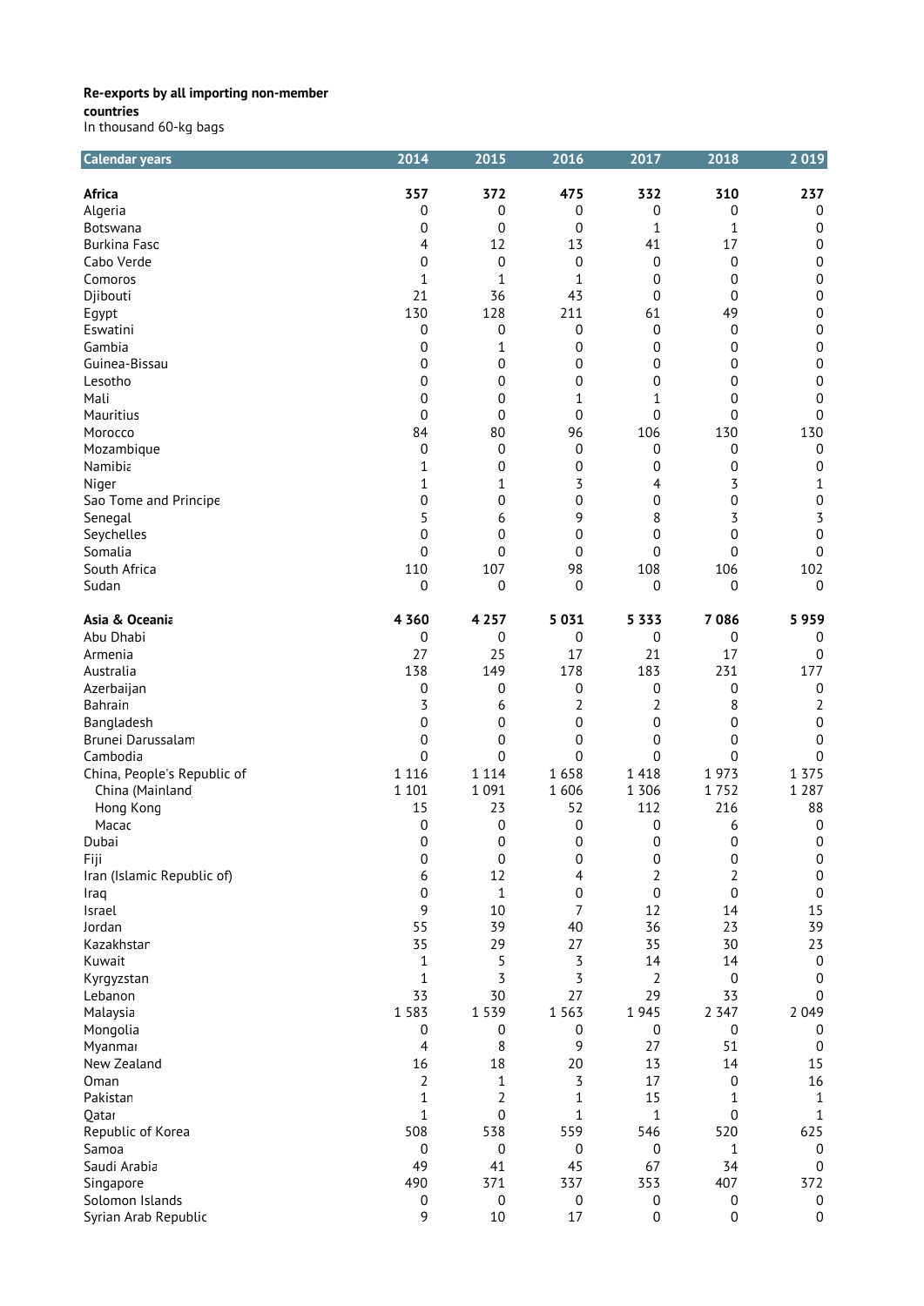| <b>Calendar years</b>       | 2014         | 2015             | 2016             | 2017             | 2018             | 2019                  |
|-----------------------------|--------------|------------------|------------------|------------------|------------------|-----------------------|
| Africa                      | 357          | 372              | 475              | 332              | 310              | 237                   |
| Algeria                     | 0            | 0                | 0                | 0                | 0                | 0                     |
| Botswana                    | 0            | 0                | 0                | 1                | 1                | 0                     |
| <b>Burkina Faso</b>         | 4            | 12               | 13               | 41               | 17               | 0                     |
| Cabo Verde                  | 0            | 0                | 0                | 0                | 0                | 0                     |
| Comoros                     | 1            | 1                | 1                | 0                | 0                | $\boldsymbol{0}$      |
| Djibouti                    | 21           | 36               | 43               | $\mathbf 0$      | 0                | $\boldsymbol{0}$      |
| Egypt                       | 130          | 128              | 211              | 61               | 49               | $\boldsymbol{0}$      |
| Eswatini                    | 0            | 0                | 0                | $\mathbf 0$      | 0                | $\boldsymbol{0}$      |
| Gambia                      |              |                  |                  |                  |                  | $\boldsymbol{0}$      |
|                             | 0            | 1                | 0                | 0                | 0                |                       |
| Guinea-Bissau               | 0            | 0                | $\mathbf 0$      | 0                | 0                | 0                     |
| Lesotho                     | 0            | 0                | 0                | 0                | 0                | 0                     |
| Mali                        | 0            | 0                | 1                | $\mathbf 1$      | 0                | 0                     |
| Mauritius                   | 0            | 0                | $\mathbf 0$      | $\mathbf 0$      | 0                | 0                     |
| Morocco                     | 84           | 80               | 96               | 106              | 130              | 130                   |
| Mozambique                  | 0            | 0                | 0                | 0                | 0                | 0                     |
| Namibia                     | 1            | 0                | $\mathbf 0$      | 0                | 0                | 0                     |
| Niger                       | 1            | 1                | 3                | 4                | 3                | 1                     |
| Sao Tome and Principe       | 0            | 0                | 0                | 0                | 0                | $\boldsymbol{0}$      |
| Senegal                     | 5            | 6                | 9                | 8                | 3                | 3                     |
| Seychelles                  | 0            | 0                | 0                | 0                | 0                | 0                     |
| Somalia                     | 0            | 0                | $\overline{0}$   | $\overline{0}$   | 0                | $\boldsymbol{0}$      |
| South Africa                | 110          | 107              | 98               | 108              | 106              | 102                   |
| Sudan                       | 0            | 0                | $\overline{0}$   | 0                | 0                | 0                     |
|                             |              |                  |                  |                  |                  |                       |
| Asia & Oceania              | 4 3 6 0      | 4 2 5 7          | 5 0 3 1          | 5 3 3 3          | 7086             | 5959                  |
| Abu Dhabi                   | 0            | 0                | 0                | 0                | 0                | 0                     |
| Armenia                     | 27           | 25               | 17               | 21               | 17               | 0                     |
| Australia                   | 138          | 149              | 178              | 183              | 231              | 177                   |
| Azerbaijan                  | 0            | 0                | 0                | 0                | 0                | 0                     |
| Bahrain                     | 3            | 6                | 2                | 2                | 8                | $\overline{2}$        |
| Bangladesh                  | 0            | 0                | $\mathbf 0$      | $\mathbf 0$      | 0                | $\boldsymbol{0}$      |
| Brunei Darussalam           | 0            | 0                | 0                | 0                | 0                | 0                     |
| Cambodia                    | 0            | 0                | $\mathbf 0$      | $\mathbf 0$      | 0                | 0                     |
| China, People's Republic of | 1 1 1 6      | 1 1 1 4          | 1658             | 1 4 1 8          | 1973             | 1 3 7 5               |
| China (Mainland             | 1 1 0 1      | 1 0 9 1          | 1606             | 1 3 0 6          | 1752             | 1 2 8 7               |
| Hong Kong                   | 15           | 23               | 52               | 112              | 216              | 88                    |
| Macac                       | 0            | 0                | $\mathbf 0$      | $\mathbf 0$      | 6                | 0                     |
| Dubai                       | 0            | $\boldsymbol{0}$ | $\boldsymbol{0}$ | 0                | $\boldsymbol{0}$ | $\boldsymbol{0}$      |
| Fiji                        | 0            | 0                | $\boldsymbol{0}$ | 0                | $\boldsymbol{0}$ | 0                     |
| Iran (Islamic Republic of)  | 6            | 12               | 4                | 2                | $\overline{2}$   | $\boldsymbol{0}$      |
| Iraq                        | 0            | $\mathbf{1}$     | 0                | $\boldsymbol{0}$ | $\boldsymbol{0}$ | 0                     |
|                             | 9            | 10               | 7                | 12               | 14               | 15                    |
| Israel                      | 55           |                  |                  |                  |                  |                       |
| Jordan                      |              | 39               | 40               | 36               | 23               | 39                    |
| Kazakhstar                  | 35           | 29               | 27               | 35               | 30               | 23                    |
| Kuwait                      | $\mathbf{1}$ | 5                | 3                | 14               | 14               | $\mathbf 0$           |
| Kyrgyzstan                  | $\mathbf{1}$ | 3                | 3                | $\overline{2}$   | 0                | $\mathbf 0$           |
| Lebanon                     | 33           | 30               | 27               | 29               | 33               | 0                     |
| Malaysia                    | 1 5 8 3      | 1 5 3 9          | 1 5 6 3          | 1945             | 2 3 4 7          | 2 0 4 9               |
| Mongolia                    | 0            | 0                | 0                | 0                | $\pmb{0}$        | 0                     |
| Myanmar                     | 4            | 8                | 9                | 27               | 51               | 0                     |
| New Zealand                 | 16           | 18               | 20               | 13               | 14               | 15                    |
| Oman                        | 2            | 1                | 3                | 17               | 0                | 16                    |
| Pakistan                    | 1            | 2                | 1                | 15               | 1                | 1                     |
| Qatar                       | $\mathbf{1}$ | 0                | 1                | $\mathbf{1}$     | $\boldsymbol{0}$ | 1                     |
| Republic of Korea           | 508          | 538              | 559              | 546              | 520              | 625                   |
| Samoa                       | 0            | 0                | $\pmb{0}$        | 0                | 1                | $\boldsymbol{0}$      |
| Saudi Arabia                | 49           | 41               | 45               | 67               | 34               | 0                     |
| Singapore                   | 490          | 371              | 337              | 353              | 407              | 372                   |
| Solomon Islands             |              |                  |                  |                  |                  |                       |
|                             | 0<br>9       | 0<br>$10\,$      | 0<br>17          | 0<br>0           | 0<br>0           | 0<br>$\boldsymbol{0}$ |
| Syrian Arab Republic        |              |                  |                  |                  |                  |                       |